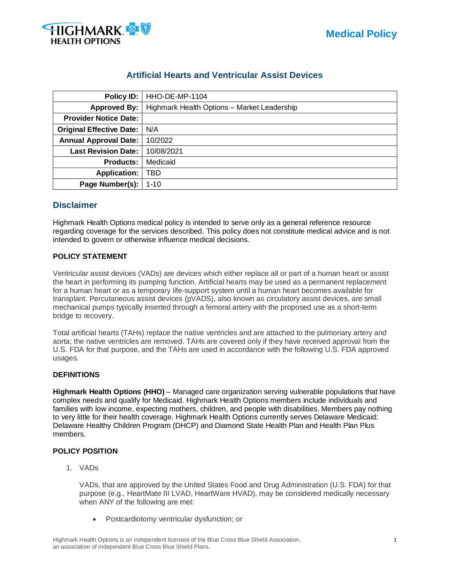

| Policy ID:                      | HHO-DE-MP-1104                              |
|---------------------------------|---------------------------------------------|
| Approved By:                    | Highmark Health Options - Market Leadership |
| <b>Provider Notice Date:</b>    |                                             |
| <b>Original Effective Date:</b> | N/A                                         |
| <b>Annual Approval Date:</b>    | 10/2022                                     |
| <b>Last Revision Date:</b>      | 10/08/2021                                  |
| <b>Products:</b>                | Medicaid                                    |
| <b>Application:</b>             | TBD                                         |

## **Artificial Hearts and Ventricular Assist Devices**

### **Disclaimer**

Highmark Health Options medical policy is intended to serve only as a general reference resource regarding coverage for the services described. This policy does not constitute medical advice and is not intended to govern or otherwise influence medical decisions.

#### **POLICY STATEMENT**

**Page Number(s):** 1-10

Ventricular assist devices (VADs) are devices which either replace all or part of a human heart or assist the heart in performing its pumping function. Artificial hearts may be used as a permanent replacement for a human heart or as a temporary life-support system until a human heart becomes available for transplant. Percutaneous assist devices (pVADS), also known as circulatory assist devices, are small mechanical pumps typically inserted through a femoral artery with the proposed use as a short-term bridge to recovery.

Total artificial hearts (TAHs) replace the native ventricles and are attached to the pulmonary artery and aorta; the native ventricles are removed. TAHs are covered only if they have received approval from the U.S. FDA for that purpose, and the TAHs are used in accordance with the following U.S. FDA approved usages.

#### **DEFINITIONS**

**Highmark Health Options (HHO)** – Managed care organization serving vulnerable populations that have complex needs and qualify for Medicaid. Highmark Health Options members include individuals and families with low income, expecting mothers, children, and people with disabilities. Members pay nothing to very little for their health coverage. Highmark Health Options currently serves Delaware Medicaid: Delaware Healthy Children Program (DHCP) and Diamond State Health Plan and Health Plan Plus members.

#### **POLICY POSITION**

1. VADs

VADs, that are approved by the United States Food and Drug Administration (U.S. FDA) for that purpose (e.g., HeartMate III LVAD, HeartWare HVAD), may be considered medically necessary when ANY of the following are met:

• Postcardiotomy ventricular dysfunction; or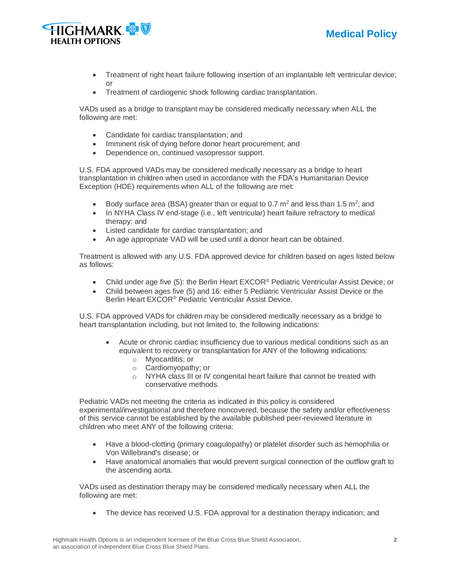

- Treatment of right heart failure following insertion of an implantable left ventricular device; or
- Treatment of cardiogenic shock following cardiac transplantation.

VADs used as a bridge to transplant may be considered medically necessary when ALL the following are met:

- Candidate for cardiac transplantation; and
- Imminent risk of dying before donor heart procurement; and
- Dependence on, continued vasopressor support.

U.S. FDA approved VADs may be considered medically necessary as a bridge to heart transplantation in children when used in accordance with the FDA's Humanitarian Device Exception (HDE) requirements when ALL of the following are met:

- Body surface area (BSA) greater than or equal to 0.7  $m^2$  and less than 1.5  $m^2$ ; and
- In NYHA Class IV end-stage (i.e., left ventricular) heart failure refractory to medical therapy; and
- Listed candidate for cardiac transplantation; and
- An age appropriate VAD will be used until a donor heart can be obtained.

Treatment is allowed with any U.S. FDA approved device for children based on ages listed below as follows:

- Child under age five (5): the Berlin Heart EXCOR<sup>®</sup> Pediatric Ventricular Assist Device; or
- Child between ages five (5) and 16: either 5 Pediatric Ventricular Assist Device or the Berlin Heart EXCOR® Pediatric Ventricular Assist Device.

U.S. FDA approved VADs for children may be considered medically necessary as a bridge to heart transplantation including, but not limited to, the following indications:

- Acute or chronic cardiac insufficiency due to various medical conditions such as an equivalent to recovery or transplantation for ANY of the following indications:
	- o Myocarditis; or
	- o Cardiomyopathy; or
	- o NYHA class III or IV congenital heart failure that cannot be treated with conservative methods.

Pediatric VADs not meeting the criteria as indicated in this policy is considered experimental/investigational and therefore noncovered, because the safety and/or effectiveness of this service cannot be established by the available published peer-reviewed literature in children who meet ANY of the following criteria:

- Have a blood-clotting (primary coagulopathy) or platelet disorder such as hemophilia or Von Willebrand's disease; or
- Have anatomical anomalies that would prevent surgical connection of the outflow graft to the ascending aorta.

VADs used as destination therapy may be considered medically necessary when ALL the following are met:

• The device has received U.S. FDA approval for a destination therapy indication; and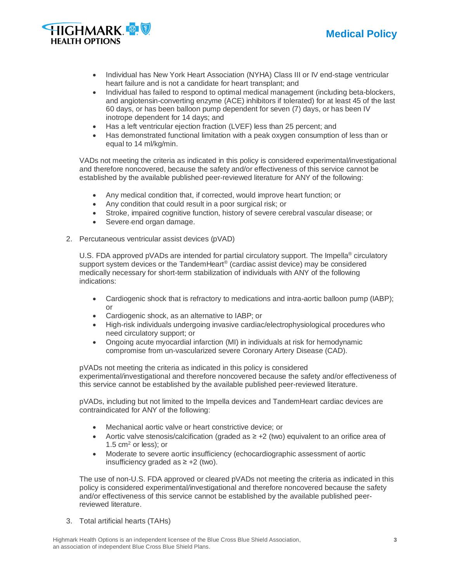



- Individual has New York Heart Association (NYHA) Class III or IV end-stage ventricular heart failure and is not a candidate for heart transplant; and
- Individual has failed to respond to optimal medical management (including beta-blockers, and angiotensin-converting enzyme (ACE) inhibitors if tolerated) for at least 45 of the last 60 days, or has been balloon pump dependent for seven (7) days, or has been IV inotrope dependent for 14 days; and
- Has a left ventricular ejection fraction (LVEF) less than 25 percent; and
- Has demonstrated functional limitation with a peak oxygen consumption of less than or equal to 14 ml/kg/min.

VADs not meeting the criteria as indicated in this policy is considered experimental/investigational and therefore noncovered, because the safety and/or effectiveness of this service cannot be established by the available published peer-reviewed literature for ANY of the following:

- Any medical condition that, if corrected, would improve heart function; or
- Any condition that could result in a poor surgical risk; or
- Stroke, impaired cognitive function, history of severe cerebral vascular disease; or
- Severe end organ damage.
- 2. Percutaneous ventricular assist devices (pVAD)

U.S. FDA approved pVADs are intended for partial circulatory support. The Impella<sup>®</sup> circulatory support system devices or the TandemHeart® (cardiac assist device) may be considered medically necessary for short-term stabilization of individuals with ANY of the following indications:

- Cardiogenic shock that is refractory to medications and intra-aortic balloon pump (IABP); or
- Cardiogenic shock, as an alternative to IABP; or
- High-risk individuals undergoing invasive cardiac/electrophysiological procedures who need circulatory support; or
- Ongoing acute myocardial infarction (MI) in individuals at risk for hemodynamic compromise from un-vascularized severe Coronary Artery Disease (CAD).

pVADs not meeting the criteria as indicated in this policy is considered experimental/investigational and therefore noncovered because the safety and/or effectiveness of this service cannot be established by the available published peer-reviewed literature.

pVADs, including but not limited to the Impella devices and TandemHeart cardiac devices are contraindicated for ANY of the following:

- Mechanical aortic valve or heart constrictive device; or
- Aortic valve stenosis/calcification (graded as ≥ +2 (two) equivalent to an orifice area of 1.5  $cm<sup>2</sup>$  or less); or
- Moderate to severe aortic insufficiency (echocardiographic assessment of aortic insufficiency graded as ≥ +2 (two).

The use of non-U.S. FDA approved or cleared pVADs not meeting the criteria as indicated in this policy is considered experimental/investigational and therefore noncovered because the safety and/or effectiveness of this service cannot be established by the available published peerreviewed literature.

3. Total artificial hearts (TAHs)

Highmark Health Options is an independent licensee of the Blue Cross Blue Shield Association, **3** an association of independent Blue Cross Blue Shield Plans.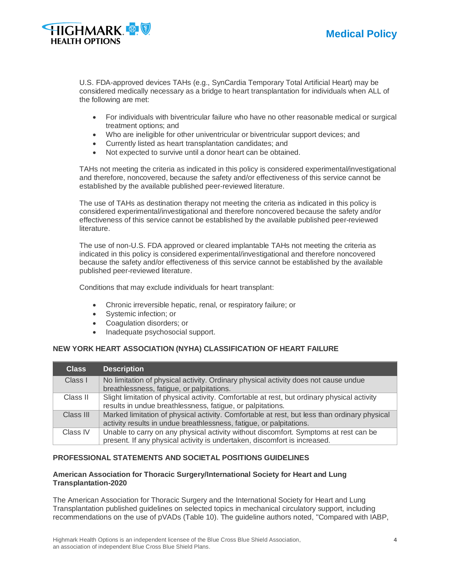

U.S. FDA-approved devices TAHs (e.g., SynCardia Temporary Total Artificial Heart) may be considered medically necessary as a bridge to heart transplantation for individuals when ALL of the following are met:

- For individuals with biventricular failure who have no other reasonable medical or surgical treatment options; and
- Who are ineligible for other univentricular or biventricular support devices; and
- Currently listed as heart transplantation candidates; and
- Not expected to survive until a donor heart can be obtained.

TAHs not meeting the criteria as indicated in this policy is considered experimental/investigational and therefore, noncovered, because the safety and/or effectiveness of this service cannot be established by the available published peer-reviewed literature.

The use of TAHs as destination therapy not meeting the criteria as indicated in this policy is considered experimental/investigational and therefore noncovered because the safety and/or effectiveness of this service cannot be established by the available published peer-reviewed literature.

The use of non-U.S. FDA approved or cleared implantable TAHs not meeting the criteria as indicated in this policy is considered experimental/investigational and therefore noncovered because the safety and/or effectiveness of this service cannot be established by the available published peer-reviewed literature.

Conditions that may exclude individuals for heart transplant:

- Chronic irreversible hepatic, renal, or respiratory failure; or
- Systemic infection; or
- Coagulation disorders; or
- Inadequate psychosocial support.

#### **NEW YORK HEART ASSOCIATION (NYHA) CLASSIFICATION OF HEART FAILURE**

| <b>Class</b> | <b>Description</b>                                                                                                                                                  |
|--------------|---------------------------------------------------------------------------------------------------------------------------------------------------------------------|
| Class I      | No limitation of physical activity. Ordinary physical activity does not cause undue<br>breathlessness, fatigue, or palpitations.                                    |
| Class II     | Slight limitation of physical activity. Comfortable at rest, but ordinary physical activity<br>results in undue breathlessness, fatigue, or palpitations.           |
| Class III    | Marked limitation of physical activity. Comfortable at rest, but less than ordinary physical<br>activity results in undue breathlessness, fatigue, or palpitations. |
| Class IV     | Unable to carry on any physical activity without discomfort. Symptoms at rest can be<br>present. If any physical activity is undertaken, discomfort is increased.   |

#### **PROFESSIONAL STATEMENTS AND SOCIETAL POSITIONS GUIDELINES**

#### **American Association for Thoracic Surgery/International Society for Heart and Lung Transplantation-2020**

The American Association for Thoracic Surgery and the International Society for Heart and Lung Transplantation published guidelines on selected topics in mechanical circulatory support, including recommendations on the use of pVADs (Table 10). The guideline authors noted, "Compared with IABP,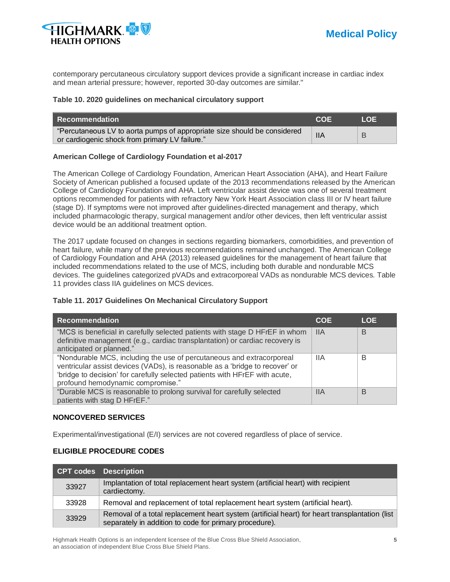

contemporary percutaneous circulatory support devices provide a significant increase in cardiac index and mean arterial pressure; however, reported 30-day outcomes are similar."

#### **Table 10. 2020 guidelines on mechanical circulatory support**

| <b>Recommendation</b>                                                    | COF        | LOE I |
|--------------------------------------------------------------------------|------------|-------|
| "Percutaneous LV to aorta pumps of appropriate size should be considered | <b>IIA</b> |       |
| or cardiogenic shock from primary LV failure."                           |            |       |

#### **American College of Cardiology Foundation et al-2017**

The American College of Cardiology Foundation, American Heart Association (AHA), and Heart Failure Society of American published a focused update of the 2013 recommendations released by the American College of Cardiology Foundation and AHA. Left ventricular assist device was one of several treatment options recommended for patients with refractory New York Heart Association class III or IV heart failure (stage D). If symptoms were not improved after guidelines-directed management and therapy, which included pharmacologic therapy, surgical management and/or other devices, then left ventricular assist device would be an additional treatment option.

The 2017 update focused on changes in sections regarding biomarkers, comorbidities, and prevention of heart failure, while many of the previous recommendations remained unchanged. The American College of Cardiology Foundation and AHA (2013) released guidelines for the management of heart failure that included recommendations related to the use of MCS, including both durable and nondurable MCS devices. The guidelines categorized pVADs and extracorporeal VADs as nondurable MCS devices. Table 11 provides class IIA guidelines on MCS devices.

#### **Table 11. 2017 Guidelines On Mechanical Circulatory Support**

| <b>Recommendation</b>                                                                                                                                                                                                                                                     | <b>COE</b> | <b>LOE</b> |
|---------------------------------------------------------------------------------------------------------------------------------------------------------------------------------------------------------------------------------------------------------------------------|------------|------------|
| "MCS is beneficial in carefully selected patients with stage D HFrEF in whom<br>definitive management (e.g., cardiac transplantation) or cardiac recovery is<br>anticipated or planned."                                                                                  | <b>IIA</b> | B          |
| "Nondurable MCS, including the use of percutaneous and extracorporeal<br>ventricular assist devices (VADs), is reasonable as a 'bridge to recover' or<br>'bridge to decision' for carefully selected patients with HFrEF with acute,<br>profound hemodynamic compromise." | 11A        | в          |
| "Durable MCS is reasonable to prolong survival for carefully selected<br>patients with stag D HFrEF."                                                                                                                                                                     | ШA         | B          |

#### **NONCOVERED SERVICES**

Experimental/investigational (E/I) services are not covered regardless of place of service.

#### **ELIGIBLE PROCEDURE CODES**

|       | CPT codes Description                                                                                                                                    |
|-------|----------------------------------------------------------------------------------------------------------------------------------------------------------|
| 33927 | Implantation of total replacement heart system (artificial heart) with recipient<br>cardiectomy.                                                         |
| 33928 | Removal and replacement of total replacement heart system (artificial heart).                                                                            |
| 33929 | Removal of a total replacement heart system (artificial heart) for heart transplantation (list<br>separately in addition to code for primary procedure). |

Highmark Health Options is an independent licensee of the Blue Cross Blue Shield Association, **5** an association of independent Blue Cross Blue Shield Plans.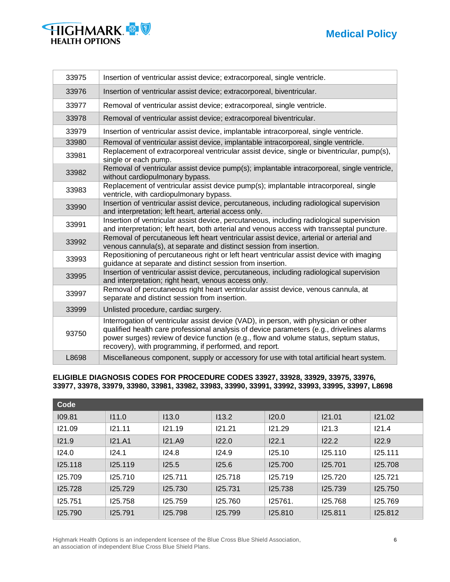# **Medical Policy**

| HIGHMARK &            |  |
|-----------------------|--|
| <b>HEALTH OPTIONS</b> |  |

| 33975 | Insertion of ventricular assist device; extracorporeal, single ventricle.                                                                                                                                                                                                                                                            |
|-------|--------------------------------------------------------------------------------------------------------------------------------------------------------------------------------------------------------------------------------------------------------------------------------------------------------------------------------------|
| 33976 | Insertion of ventricular assist device; extracorporeal, biventricular.                                                                                                                                                                                                                                                               |
| 33977 | Removal of ventricular assist device; extracorporeal, single ventricle.                                                                                                                                                                                                                                                              |
| 33978 | Removal of ventricular assist device; extracorporeal biventricular.                                                                                                                                                                                                                                                                  |
| 33979 | Insertion of ventricular assist device, implantable intracorporeal, single ventricle.                                                                                                                                                                                                                                                |
| 33980 | Removal of ventricular assist device, implantable intracorporeal, single ventricle.                                                                                                                                                                                                                                                  |
| 33981 | Replacement of extracorporeal ventricular assist device, single or biventricular, pump(s),<br>single or each pump.                                                                                                                                                                                                                   |
| 33982 | Removal of ventricular assist device pump(s); implantable intracorporeal, single ventricle,<br>without cardiopulmonary bypass.                                                                                                                                                                                                       |
| 33983 | Replacement of ventricular assist device pump(s); implantable intracorporeal, single<br>ventricle, with cardiopulmonary bypass.                                                                                                                                                                                                      |
| 33990 | Insertion of ventricular assist device, percutaneous, including radiological supervision<br>and interpretation; left heart, arterial access only.                                                                                                                                                                                    |
| 33991 | Insertion of ventricular assist device, percutaneous, including radiological supervision<br>and interpretation; left heart, both arterial and venous access with transseptal puncture.                                                                                                                                               |
| 33992 | Removal of percutaneous left heart ventricular assist device, arterial or arterial and<br>venous cannula(s), at separate and distinct session from insertion.                                                                                                                                                                        |
| 33993 | Repositioning of percutaneous right or left heart ventricular assist device with imaging<br>guidance at separate and distinct session from insertion.                                                                                                                                                                                |
| 33995 | Insertion of ventricular assist device, percutaneous, including radiological supervision<br>and interpretation; right heart, venous access only.                                                                                                                                                                                     |
| 33997 | Removal of percutaneous right heart ventricular assist device, venous cannula, at<br>separate and distinct session from insertion.                                                                                                                                                                                                   |
| 33999 | Unlisted procedure, cardiac surgery.                                                                                                                                                                                                                                                                                                 |
| 93750 | Interrogation of ventricular assist device (VAD), in person, with physician or other<br>qualified health care professional analysis of device parameters (e.g., drivelines alarms<br>power surges) review of device function (e.g., flow and volume status, septum status,<br>recovery), with programming, if performed, and report. |
| L8698 | Miscellaneous component, supply or accessory for use with total artificial heart system.                                                                                                                                                                                                                                             |

#### **ELIGIBLE DIAGNOSIS CODES FOR PROCEDURE CODES 33927, 33928, 33929, 33975, 33976, 33977, 33978, 33979, 33980, 33981, 33982, 33983, 33990, 33991, 33992, 33993, 33995, 33997, L8698**

| Code    |         |         |         |         |         |         |
|---------|---------|---------|---------|---------|---------|---------|
| 109.81  | 111.0   | 113.0   | 113.2   | 120.0   | 121.01  | 121.02  |
| 121.09  | 121.11  | 121.19  | 121.21  | 121.29  | 121.3   | 121.4   |
| 121.9   | I21.A1  | 121.A9  | 122.0   | 122.1   | 122.2   | 122.9   |
| 124.0   | 124.1   | 124.8   | 124.9   | 125.10  | 125.110 | 125.111 |
| 125.118 | 125.119 | 125.5   | 125.6   | 125.700 | 125.701 | 125.708 |
| 125.709 | 125.710 | 125.711 | 125.718 | 125.719 | 125.720 | 125.721 |
| 125.728 | 125.729 | 125.730 | 125.731 | 125.738 | 125.739 | 125.750 |
| 125.751 | 125.758 | 125.759 | 125.760 | 125761. | 125.768 | 125.769 |
| 125.790 | 125.791 | 125.798 | 125.799 | 125.810 | 125.811 | 125.812 |

Highmark Health Options is an independent licensee of the Blue Cross Blue Shield Association, **6** an association of independent Blue Cross Blue Shield Plans.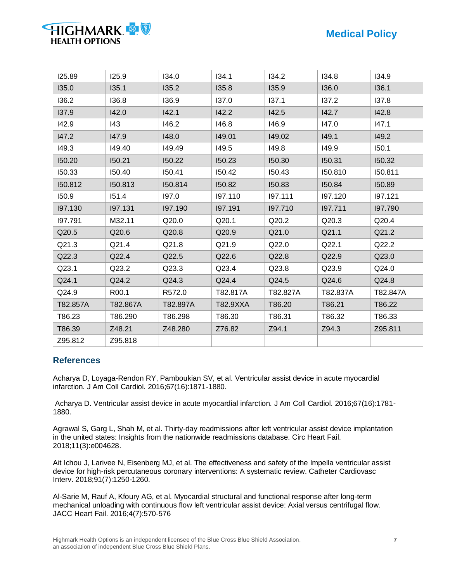# **Medical Policy**

| 125.89   | 125.9    | 134.0    | 134.1    | 134.2    | 134.8    | 134.9    |
|----------|----------|----------|----------|----------|----------|----------|
| 135.0    | 135.1    | 135.2    | 135.8    | 135.9    | 136.0    | 136.1    |
| 136.2    | 136.8    | 136.9    | 137.0    | 137.1    | 137.2    | 137.8    |
| 137.9    | 142.0    | 142.1    | 142.2    | 142.5    | 142.7    | 142.8    |
| 142.9    | 143      | 146.2    | 146.8    | 146.9    | 147.0    | 147.1    |
| 147.2    | 147.9    | 148.0    | 149.01   | 149.02   | 149.1    | 149.2    |
| 149.3    | 149.40   | 149.49   | 149.5    | 149.8    | 149.9    | 150.1    |
| 150.20   | 150.21   | 150.22   | 150.23   | 150.30   | 150.31   | 150.32   |
| 150.33   | 150.40   | 150.41   | 150.42   | 150.43   | 150.810  | 150.811  |
| 150.812  | 150.813  | 150.814  | 150.82   | 150.83   | 150.84   | 150.89   |
| 150.9    | 151.4    | 197.0    | 197.110  | 197.111  | 197.120  | 197.121  |
| 197.130  | 197.131  | 197.190  | 197.191  | 197.710  | 197.711  | 197.790  |
| 197.791  | M32.11   | Q20.0    | Q20.1    | Q20.2    | Q20.3    | Q20.4    |
| Q20.5    | Q20.6    | Q20.8    | Q20.9    | Q21.0    | Q21.1    | Q21.2    |
| Q21.3    | Q21.4    | Q21.8    | Q21.9    | Q22.0    | Q22.1    | Q22.2    |
| Q22.3    | Q22.4    | Q22.5    | Q22.6    | Q22.8    | Q22.9    | Q23.0    |
| Q23.1    | Q23.2    | Q23.3    | Q23.4    | Q23.8    | Q23.9    | Q24.0    |
| Q24.1    | Q24.2    | Q24.3    | Q24.4    | Q24.5    | Q24.6    | Q24.8    |
| Q24.9    | R00.1    | R572.0   | T82.817A | T82.827A | T82.837A | T82.847A |
| T82.857A | T82.867A | T82.897A | T82.9XXA | T86.20   | T86.21   | T86.22   |
| T86.23   | T86.290  | T86.298  | T86.30   | T86.31   | T86.32   | T86.33   |
| T86.39   | Z48.21   | Z48.280  | Z76.82   | Z94.1    | Z94.3    | Z95.811  |
| Z95.812  | Z95.818  |          |          |          |          |          |

### **References**

**HIGHMARK** 

**HEALTH OPTIONS** 

Acharya D, Loyaga-Rendon RY, Pamboukian SV, et al. Ventricular assist device in acute myocardial infarction. J Am Coll Cardiol. 2016;67(16):1871-1880.

Acharya D. Ventricular assist device in acute myocardial infarction. J Am Coll Cardiol. 2016;67(16):1781- 1880.

Agrawal S, Garg L, Shah M, et al. Thirty-day readmissions after left ventricular assist device implantation in the united states: Insights from the nationwide readmissions database. Circ Heart Fail. 2018;11(3):e004628.

Ait Ichou J, Larivee N, Eisenberg MJ, et al. The effectiveness and safety of the Impella ventricular assist device for high-risk percutaneous coronary interventions: A systematic review. Catheter Cardiovasc Interv. 2018;91(7):1250-1260.

Al-Sarie M, Rauf A, Kfoury AG, et al. Myocardial structural and functional response after long-term mechanical unloading with continuous flow left ventricular assist device: Axial versus centrifugal flow. JACC Heart Fail. 2016;4(7):570-576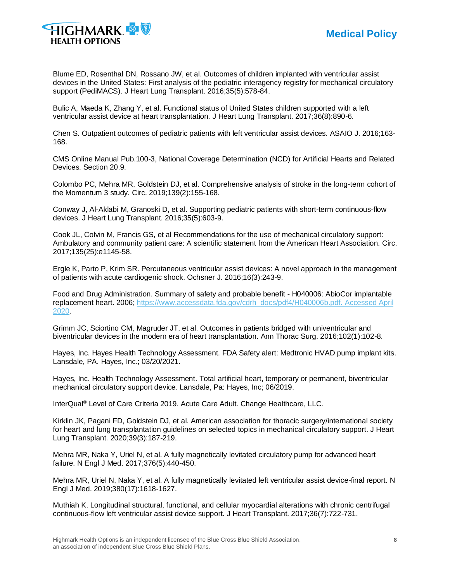

Blume ED, Rosenthal DN, Rossano JW, et al. Outcomes of children implanted with ventricular assist devices in the United States: First analysis of the pediatric interagency registry for mechanical circulatory support (PediMACS). J Heart Lung Transplant. 2016;35(5):578-84.

Bulic A, Maeda K, Zhang Y, et al. Functional status of United States children supported with a left ventricular assist device at heart transplantation. J Heart Lung Transplant. 2017;36(8):890-6.

Chen S. Outpatient outcomes of pediatric patients with left ventricular assist devices. ASAIO J. 2016;163- 168.

CMS Online Manual Pub.100-3, National Coverage Determination (NCD) for Artificial Hearts and Related Devices. Section 20.9.

Colombo PC, Mehra MR, Goldstein DJ, et al. Comprehensive analysis of stroke in the long-term cohort of the Momentum 3 study. Circ. 2019;139(2):155-168.

Conway J, Al-Aklabi M, Granoski D, et al. Supporting pediatric patients with short-term continuous-flow devices. J Heart Lung Transplant. 2016;35(5):603-9.

Cook JL, Colvin M, Francis GS, et al Recommendations for the use of mechanical circulatory support: Ambulatory and community patient care: A scientific statement from the American Heart Association. Circ. 2017;135(25):e1145-58.

Ergle K, Parto P, Krim SR. Percutaneous ventricular assist devices: A novel approach in the management of patients with acute cardiogenic shock. Ochsner J. 2016;16(3):243-9.

Food and Drug Administration. Summary of safety and probable benefit - H040006: AbioCor implantable replacement heart. 2006; [https://www.accessdata.fda.gov/cdrh\\_docs/pdf4/H040006b.pdf.](https://www.accessdata.fda.gov/cdrh_docs/pdf4/H040006b.pdf.%20Accessed%20April%202020) Accessed April [2020.](https://www.accessdata.fda.gov/cdrh_docs/pdf4/H040006b.pdf.%20Accessed%20April%202020)

Grimm JC, Sciortino CM, Magruder JT, et al. Outcomes in patients bridged with univentricular and biventricular devices in the modern era of heart transplantation. Ann Thorac Surg. 2016;102(1):102-8.

Hayes, Inc. Hayes Health Technology Assessment. FDA Safety alert: Medtronic HVAD pump implant kits. Lansdale, PA. Hayes, Inc.; 03/20/2021.

Hayes, Inc. Health Technology Assessment. Total artificial heart, temporary or permanent, biventricular mechanical circulatory support device. Lansdale, Pa: Hayes, Inc; 06/2019.

InterQual® Level of Care Criteria 2019. Acute Care Adult. Change Healthcare, LLC.

Kirklin JK, Pagani FD, Goldstein DJ, et al. American association for thoracic surgery/international society for heart and lung transplantation guidelines on selected topics in mechanical circulatory support. J Heart Lung Transplant. 2020;39(3):187-219.

Mehra MR, Naka Y, Uriel N, et al. A fully magnetically levitated circulatory pump for advanced heart failure. N Engl J Med. 2017;376(5):440-450.

Mehra MR, Uriel N, Naka Y, et al. A fully magnetically levitated left ventricular assist device-final report. N Engl J Med. 2019;380(17):1618-1627.

Muthiah K. Longitudinal structural, functional, and cellular myocardial alterations with chronic centrifugal continuous-flow left ventricular assist device support. J Heart Transplant. 2017;36(7):722-731.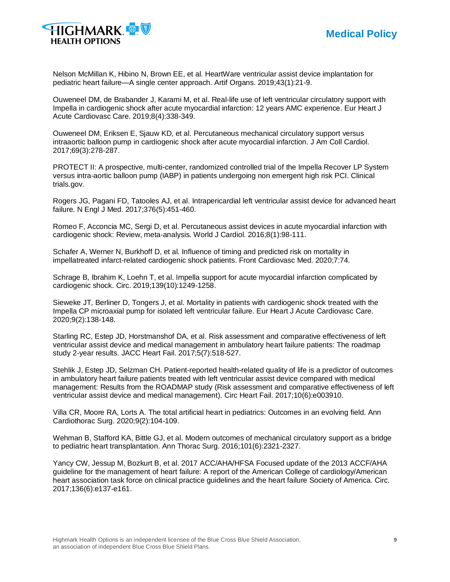

Nelson McMillan K, Hibino N, Brown EE, et al. HeartWare ventricular assist device implantation for pediatric heart failure—A single center approach. Artif Organs. 2019;43(1):21-9.

Ouweneel DM, de Brabander J, Karami M, et al. Real-life use of left ventricular circulatory support with Impella in cardiogenic shock after acute myocardial infarction: 12 years AMC experience. Eur Heart J Acute Cardiovasc Care. 2019;8(4):338-349.

Ouweneel DM, Eriksen E, Sjauw KD, et al. Percutaneous mechanical circulatory support versus intraaortic balloon pump in cardiogenic shock after acute myocardial infarction. J Am Coll Cardiol. 2017;69(3):278-287.

PROTECT II: A prospective, multi-center, randomized controlled trial of the Impella Recover LP System versus intra-aortic balloon pump (IABP) in patients undergoing non emergent high risk PCI. Clinical trials.gov.

Rogers JG, Pagani FD, Tatooles AJ, et al. Intrapericardial left ventricular assist device for advanced heart failure. N Engl J Med. 2017;376(5):451-460.

Romeo F, Acconcia MC, Sergi D, et al. Percutaneous assist devices in acute myocardial infarction with cardiogenic shock: Review, meta-analysis. World J Cardiol. 2016;8(1):98-111.

Schafer A, Werner N, Burkhoff D, et al. Influence of timing and predicted risk on mortality in impellatreated infarct-related cardiogenic shock patients. Front Cardiovasc Med. 2020;7:74.

Schrage B, Ibrahim K, Loehn T, et al. Impella support for acute myocardial infarction complicated by cardiogenic shock. Circ. 2019;139(10):1249-1258.

Sieweke JT, Berliner D, Tongers J, et al. Mortality in patients with cardiogenic shock treated with the Impella CP microaxial pump for isolated left ventricular failure. Eur Heart J Acute Cardiovasc Care. 2020;9(2):138-148.

Starling RC, Estep JD, Horstmanshof DA, et al. Risk assessment and comparative effectiveness of left ventricular assist device and medical management in ambulatory heart failure patients: The roadmap study 2-year results. JACC Heart Fail. 2017;5(7):518-527.

Stehlik J, Estep JD, Selzman CH. Patient-reported health-related quality of life is a predictor of outcomes in ambulatory heart failure patients treated with left ventricular assist device compared with medical management: Results from the ROADMAP study (Risk assessment and comparative effectiveness of left ventricular assist device and medical management). Circ Heart Fail. 2017;10(6):e003910.

Villa CR, Moore RA, Lorts A. The total artificial heart in pediatrics: Outcomes in an evolving field. Ann Cardiothorac Surg. 2020;9(2):104-109.

Wehman B, Stafford KA, Bittle GJ, et al. Modern outcomes of mechanical circulatory support as a bridge to pediatric heart transplantation. Ann Thorac Surg. 2016;101(6):2321-2327.

Yancy CW, Jessup M, Bozkurt B, et al. 2017 ACC/AHA/HFSA Focused update of the 2013 ACCF/AHA guideline for the management of heart failure: A report of the American College of cardiology/American heart association task force on clinical practice guidelines and the heart failure Society of America. Circ. 2017;136(6):e137-e161.